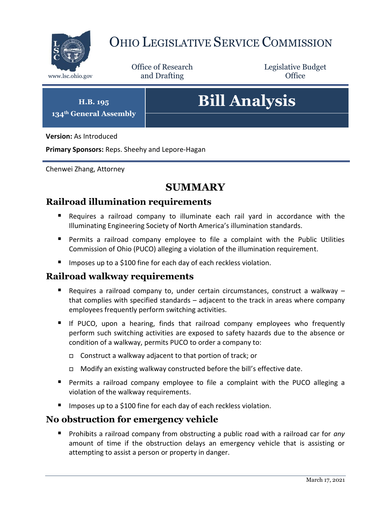

# OHIO LEGISLATIVE SERVICE COMMISSION

Office of Research www.lsc.ohio.gov **and Drafting Office** 

Legislative Budget

**H.B. 195 134th General Assembly**

# **Bill Analysis**

**Version:** As Introduced

**Primary Sponsors:** Reps. Sheehy and Lepore-Hagan

Chenwei Zhang, Attorney

# **SUMMARY**

#### **Railroad illumination requirements**

- Requires a railroad company to illuminate each rail yard in accordance with the Illuminating Engineering Society of North America's illumination standards.
- Permits a railroad company employee to file a complaint with the Public Utilities Commission of Ohio (PUCO) alleging a violation of the illumination requirement.
- **IDED 11.12.5 The Start** Imposes up to a \$100 fine for each day of each reckless violation.

#### **Railroad walkway requirements**

- Requires a railroad company to, under certain circumstances, construct a walkway  $$ that complies with specified standards – adjacent to the track in areas where company employees frequently perform switching activities.
- If PUCO, upon a hearing, finds that railroad company employees who frequently perform such switching activities are exposed to safety hazards due to the absence or condition of a walkway, permits PUCO to order a company to:
	- Construct a walkway adjacent to that portion of track; or
	- □ Modify an existing walkway constructed before the bill's effective date.
- Permits a railroad company employee to file a complaint with the PUCO alleging a violation of the walkway requirements.
- **IF Imposes up to a \$100 fine for each day of each reckless violation.**

#### **No obstruction for emergency vehicle**

**Prohibits a railroad company from obstructing a public road with a railroad car for** *any* amount of time if the obstruction delays an emergency vehicle that is assisting or attempting to assist a person or property in danger.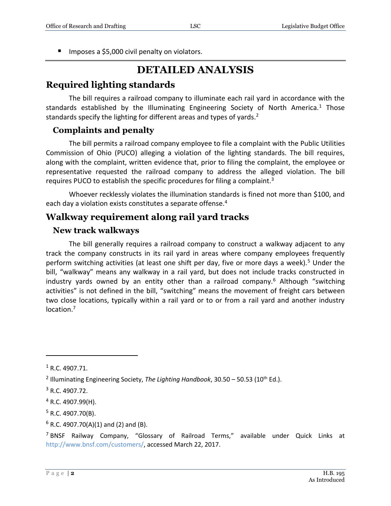**IMPOSES a \$5,000 civil penalty on violators.** 

# **DETAILED ANALYSIS**

#### **Required lighting standards**

The bill requires a railroad company to illuminate each rail yard in accordance with the standards established by the Illuminating Engineering Society of North America.<sup>1</sup> Those standards specify the lighting for different areas and types of yards.<sup>2</sup>

#### **Complaints and penalty**

The bill permits a railroad company employee to file a complaint with the Public Utilities Commission of Ohio (PUCO) alleging a violation of the lighting standards. The bill requires, along with the complaint, written evidence that, prior to filing the complaint, the employee or representative requested the railroad company to address the alleged violation. The bill requires PUCO to establish the specific procedures for filing a complaint.<sup>3</sup>

Whoever recklessly violates the illumination standards is fined not more than \$100, and each day a violation exists constitutes a separate offense.<sup>4</sup>

#### **Walkway requirement along rail yard tracks**

#### **New track walkways**

The bill generally requires a railroad company to construct a walkway adjacent to any track the company constructs in its rail yard in areas where company employees frequently perform switching activities (at least one shift per day, five or more days a week).<sup>5</sup> Under the bill, "walkway" means any walkway in a rail yard, but does not include tracks constructed in industry yards owned by an entity other than a railroad company.<sup>6</sup> Although "switching activities" is not defined in the bill, "switching" means the movement of freight cars between two close locations, typically within a rail yard or to or from a rail yard and another industry location.<sup>7</sup>

 $\overline{a}$ 

 $1 R.C. 4907.71.$ 

<sup>&</sup>lt;sup>2</sup> Illuminating Engineering Society, *The Lighting Handbook*, 30.50 – 50.53 (10<sup>th</sup> Ed.).

<sup>3</sup> R.C. 4907.72.

 $4$  R.C. 4907.99(H).

 $5$  R.C. 4907.70(B).

 $6$  R.C. 4907.70(A)(1) and (2) and (B).

<sup>7</sup> BNSF Railway Company, "Glossary of Railroad Terms," available under Quick Links at [http://www.bnsf.com/customers/,](http://www.bnsf.com/customers/) accessed March 22, 2017.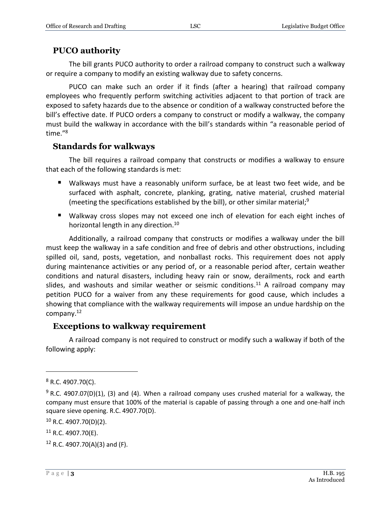#### **PUCO authority**

The bill grants PUCO authority to order a railroad company to construct such a walkway or require a company to modify an existing walkway due to safety concerns.

PUCO can make such an order if it finds (after a hearing) that railroad company employees who frequently perform switching activities adjacent to that portion of track are exposed to safety hazards due to the absence or condition of a walkway constructed before the bill's effective date. If PUCO orders a company to construct or modify a walkway, the company must build the walkway in accordance with the bill's standards within "a reasonable period of time." 8

#### **Standards for walkways**

The bill requires a railroad company that constructs or modifies a walkway to ensure that each of the following standards is met:

- Walkways must have a reasonably uniform surface, be at least two feet wide, and be surfaced with asphalt, concrete, planking, grating, native material, crushed material (meeting the specifications established by the bill), or other similar material;<sup>9</sup>
- Walkway cross slopes may not exceed one inch of elevation for each eight inches of horizontal length in any direction.<sup>10</sup>

Additionally, a railroad company that constructs or modifies a walkway under the bill must keep the walkway in a safe condition and free of debris and other obstructions, including spilled oil, sand, posts, vegetation, and nonballast rocks. This requirement does not apply during maintenance activities or any period of, or a reasonable period after, certain weather conditions and natural disasters, including heavy rain or snow, derailments, rock and earth slides, and washouts and similar weather or seismic conditions.<sup>11</sup> A railroad company may petition PUCO for a waiver from any these requirements for good cause, which includes a showing that compliance with the walkway requirements will impose an undue hardship on the company.<sup>12</sup>

#### **Exceptions to walkway requirement**

A railroad company is not required to construct or modify such a walkway if both of the following apply:

 $\overline{a}$ 

 $12$  R.C. 4907.70(A)(3) and (F).

<sup>8</sup> R.C. 4907.70(C).

 $9$  R.C. 4907.07(D)(1), (3) and (4). When a railroad company uses crushed material for a walkway, the company must ensure that 100% of the material is capable of passing through a one and one-half inch square sieve opening. R.C. 4907.70(D).

 $10$  R.C. 4907.70(D)(2).

 $11$  R.C. 4907.70(E).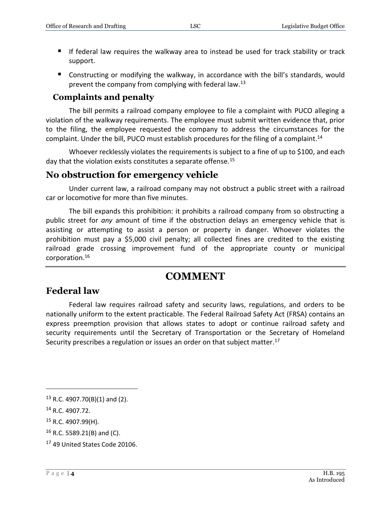- If federal law requires the walkway area to instead be used for track stability or track support.
- Constructing or modifying the walkway, in accordance with the bill's standards, would prevent the company from complying with federal law.<sup>13</sup>

#### **Complaints and penalty**

The bill permits a railroad company employee to file a complaint with PUCO alleging a violation of the walkway requirements. The employee must submit written evidence that, prior to the filing, the employee requested the company to address the circumstances for the complaint. Under the bill, PUCO must establish procedures for the filing of a complaint.<sup>14</sup>

Whoever recklessly violates the requirements is subject to a fine of up to \$100, and each day that the violation exists constitutes a separate offense.<sup>15</sup>

#### **No obstruction for emergency vehicle**

Under current law, a railroad company may not obstruct a public street with a railroad car or locomotive for more than five minutes.

The bill expands this prohibition: it prohibits a railroad company from so obstructing a public street for *any* amount of time if the obstruction delays an emergency vehicle that is assisting or attempting to assist a person or property in danger. Whoever violates the prohibition must pay a \$5,000 civil penalty; all collected fines are credited to the existing railroad grade crossing improvement fund of the appropriate county or municipal corporation.<sup>16</sup>

### **COMMENT**

#### **Federal law**

Federal law requires railroad safety and security laws, regulations, and orders to be nationally uniform to the extent practicable. The Federal Railroad Safety Act (FRSA) contains an express preemption provision that allows states to adopt or continue railroad safety and security requirements until the Secretary of Transportation or the Secretary of Homeland Security prescribes a regulation or issues an order on that subject matter.<sup>17</sup>

 $\overline{a}$ 

 $13$  R.C. 4907.70(B)(1) and (2).

<sup>14</sup> R.C. 4907.72.

<sup>&</sup>lt;sup>15</sup> R.C. 4907.99(H).

 $16$  R.C. 5589.21(B) and (C).

<sup>17</sup> 49 United States Code 20106.